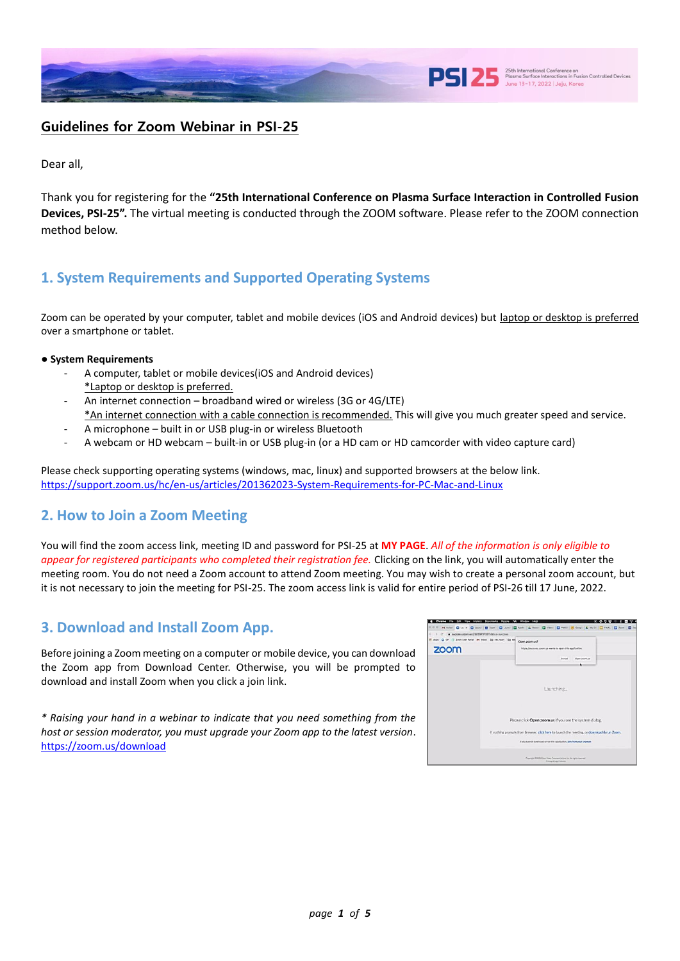

# **Guidelines for Zoom Webinar in PSI-25**

Dear all,

Thank you for registering for the **"25th International Conference on Plasma Surface Interaction in Controlled Fusion Devices, PSI-25".** The virtual meeting is conducted through the ZOOM software. Please refer to the ZOOM connection method below.

# **1. System Requirements and Supported Operating Systems**

Zoom can be operated by your computer, tablet and mobile devices (iOS and Android devices) but laptop or desktop is preferred over a smartphone or tablet.

#### **● System Requirements**

- A computer, tablet or mobile devices(iOS and Android devices) \*Laptop or desktop is preferred.
- An internet connection broadband wired or wireless (3G or 4G/LTE)
- \*An internet connection with a cable connection is recommended. This will give you much greater speed and service.
- A microphone built in or USB plug-in or wireless Bluetooth
- A webcam or HD webcam built-in or USB plug-in (or a HD cam or HD camcorder with video capture card)

Please check supporting operating systems (windows, mac, linux) and supported browsers at the below link. <https://support.zoom.us/hc/en-us/articles/201362023-System-Requirements-for-PC-Mac-and-Linux>

# **2. How to Join a Zoom Meeting**

You will find the zoom access link, meeting ID and password for PSI-25 at **MY PAGE**. *All of the information is only eligible to appear for registered participants who completed their registration fee.* Clicking on the link, you will automatically enter the meeting room. You do not need a Zoom account to attend Zoom meeting. You may wish to create a personal zoom account, but it is not necessary to join the meeting for PSI-25. The zoom access link is valid for entire period of PSI-26 till 17 June, 2022.

# **3. Download and Install Zoom App.**

Before joining a Zoom meeting on a computer or mobile device, you can download the Zoom app from Download Center. Otherwise, you will be prompted to download and install Zoom when you click a join link.

*\* Raising your hand in a webinar to indicate that you need something from the host or session moderator, you must upgrade your Zoom app to the latest version*. <https://zoom.us/download>

| Cancel<br>Open Joovi, Lis<br>Launching                                                                                                                |
|-------------------------------------------------------------------------------------------------------------------------------------------------------|
| Please click Open zoom.us if you see the system dialog.<br>If nothing prompts from browser, click here to launch the meeting, or download & run Zoom. |
| If you cannot download or run the application, join from your browser.                                                                                |
|                                                                                                                                                       |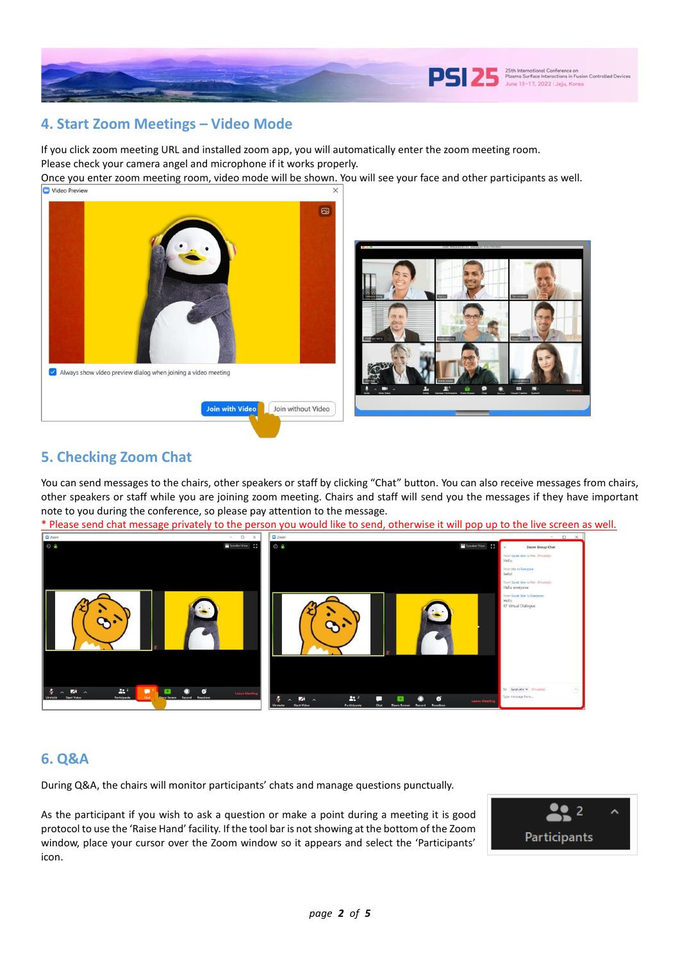

## **4. Start Zoom Meetings – Video Mode**

If you click zoom meeting URL and installed zoom app, you will automatically enter the zoom meeting room. Please check your camera angel and microphone if it works properly.

Once you enter zoom meeting room, video mode will be shown. You will see your face and other participants as well. Video Previet



# **5. Checking Zoom Chat**

You can send messages to the chairs, other speakers or staff by clicking "Chat" button. You can also receive messages from chairs, other speakers or staff while you are joining zoom meeting. Chairs and staff will send you the messages if they have important note to you during the conference, so please pay attention to the message.

\* Please send chat message privately to the person you would like to send, otherwise it will pop up to the live screen as well.



# **6. Q&A**

During Q&A, the chairs will monitor participants' chats and manage questions punctually.

As the participant if you wish to ask a question or make a point during a meeting it is good protocol to use the 'Raise Hand' facility. If the tool bar is not showing at the bottom of the Zoom window, place your cursor over the Zoom window so it appears and select the 'Participants' icon.

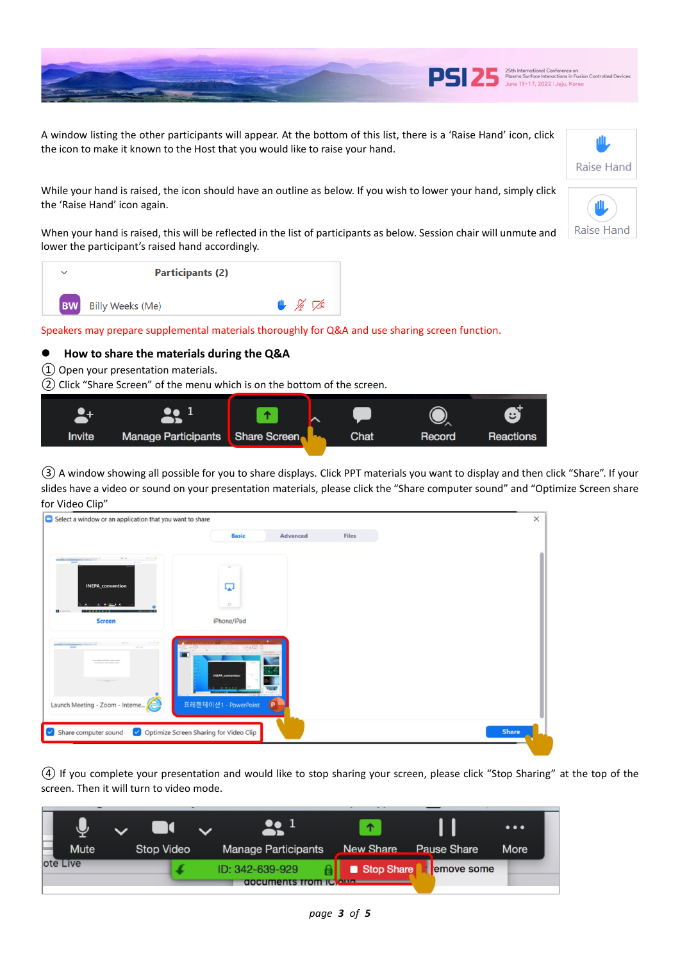

Raise Hand

Raise Hand

A window listing the other participants will appear. At the bottom of this list, there is a 'Raise Hand' icon, click the icon to make it known to the Host that you would like to raise your hand.

While your hand is raised, the icon should have an outline as below. If you wish to lower your hand, simply click the 'Raise Hand' icon again.

When your hand is raised, this will be reflected in the list of participants as below. Session chair will unmute and lower the participant's raised hand accordingly.

| $\checkmark$ | <b>Participants (2)</b>    |                                        |
|--------------|----------------------------|----------------------------------------|
|              | <b>BW</b> Billy Weeks (Me) | $\mathbb{L}$ $\mathbb{Z}$ $\mathbb{Z}$ |

Speakers may prepare supplemental materials thoroughly for Q&A and use sharing screen function.

### ⚫ **How to share the materials during the Q&A**

① Open your presentation materials.

② Click "Share Screen" of the menu which is on the bottom of the screen.



③ A window showing all possible for you to share displays. Click PPT materials you want to display and then click "Share". If your slides have a video or sound on your presentation materials, please click the "Share computer sound" and "Optimize Screen share for Video Clip"

| Select a window or an application that you want to share                           |                                        |          |              | $\times$     |
|------------------------------------------------------------------------------------|----------------------------------------|----------|--------------|--------------|
|                                                                                    | <b>Basic</b>                           | Advanced | <b>Files</b> |              |
| <b>Service</b><br>at in<br><b>NYSEN CONTRACTORY AND A VIOLATIC</b><br><b>STAGE</b> |                                        |          |              |              |
|                                                                                    |                                        |          |              |              |
| <b>INEPA</b> convention<br>. .                                                     | پا<br>$\circ$                          |          |              |              |
| <b>ABC 1</b><br>п<br><b>Screen</b>                                                 | iPhone/iPad                            |          |              |              |
|                                                                                    |                                        |          |              |              |
| <b>ROOM</b><br>has seeking theself start is a line spracht.                        | 19362                                  |          |              |              |
| <b>STATISTICS</b>                                                                  | <b>INEPA</b> convention                |          |              |              |
|                                                                                    | $2 - 2422$                             |          |              |              |
| Launch Meeting - Zoom - Interne                                                    | 프레젠테이션1 - PowerPoint                   | Þ        |              |              |
| Share computer sound                                                               | Optimize Screen Sharing for Video Clip |          |              | <b>Share</b> |
|                                                                                    |                                        |          |              |              |

④ If you complete your presentation and would like to stop sharing your screen, please click "Stop Sharing" at the top of the screen. Then it will turn to video mode.

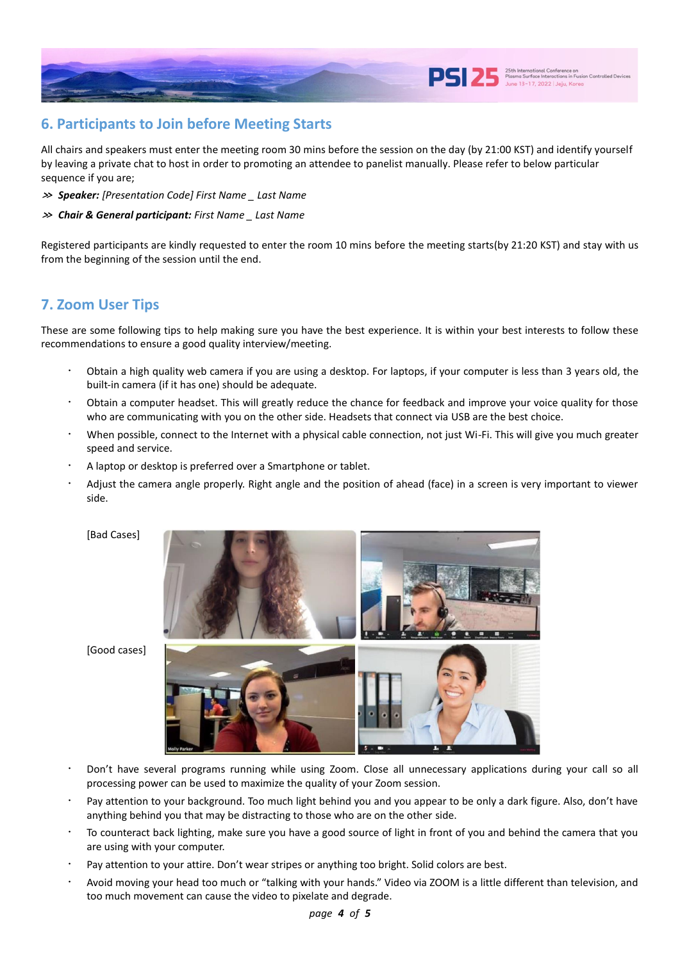

## **6. Participants to Join before Meeting Starts**

All chairs and speakers must enter the meeting room 30 mins before the session on the day (by 21:00 KST) and identify yourself by leaving a private chat to host in order to promoting an attendee to panelist manually. Please refer to below particular sequence if you are;

- **≫** *Speaker: [Presentation Code] First Name \_ Last Name*
- **≫** *Chair & General participant: First Name \_ Last Name*

Registered participants are kindly requested to enter the room 10 mins before the meeting starts(by 21:20 KST) and stay with us from the beginning of the session until the end.

# **7. Zoom User Tips**

These are some following tips to help making sure you have the best experience. It is within your best interests to follow these recommendations to ensure a good quality interview/meeting.

- Obtain a high quality web camera if you are using a desktop. For laptops, if your computer is less than 3 years old, the built-in camera (if it has one) should be adequate.
- ᆞ Obtain a computer headset. This will greatly reduce the chance for feedback and improve your voice quality for those who are communicating with you on the other side. Headsets that connect via USB are the best choice.
- When possible, connect to the Internet with a physical cable connection, not just Wi-Fi. This will give you much greater speed and service.
- A laptop or desktop is preferred over a Smartphone or tablet.
- Adjust the camera angle properly. Right angle and the position of ahead (face) in a screen is very important to viewer side.
	- [Bad Cases]



[Good cases]

- Don't have several programs running while using Zoom. Close all unnecessary applications during your call so all processing power can be used to maximize the quality of your Zoom session.
- Pay attention to your background. Too much light behind you and you appear to be only a dark figure. Also, don't have anything behind you that may be distracting to those who are on the other side.
- To counteract back lighting, make sure you have a good source of light in front of you and behind the camera that you are using with your computer.
- Pay attention to your attire. Don't wear stripes or anything too bright. Solid colors are best.
- ᆞ Avoid moving your head too much or "talking with your hands." Video via ZOOM is a little different than television, and too much movement can cause the video to pixelate and degrade.